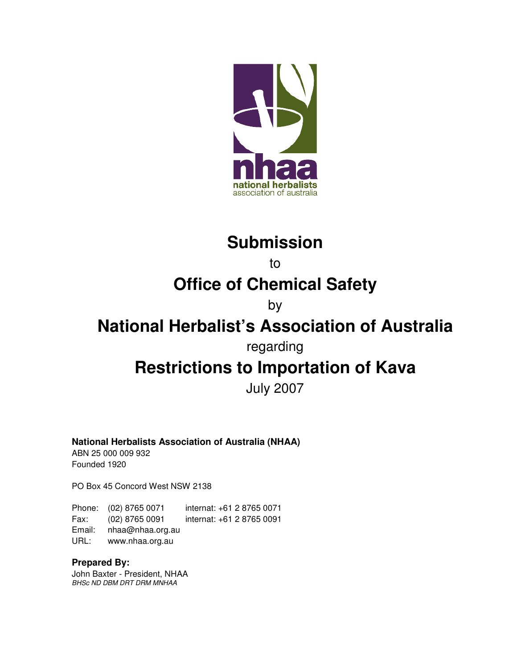

## **Submission**

to

## **Office of Chemical Safety**

### by

## **National Herbalist's Association of Australia**

regarding

# **Restrictions to Importation of Kava**

July 2007

#### **National Herbalists Association of Australia (NHAA)**

ABN 25 000 009 932 Founded 1920

PO Box 45 Concord West NSW 2138

Phone: (02) 8765 0071 internat: +61 2 8765 0071 Fax: (02) 8765 0091 internat: +61 2 8765 0091 Email: nhaa@nhaa.org.au URL: www.nhaa.org.au

#### **Prepared By:**

John Baxter - President, NHAA BHSc ND DBM DRT DRM MNHAA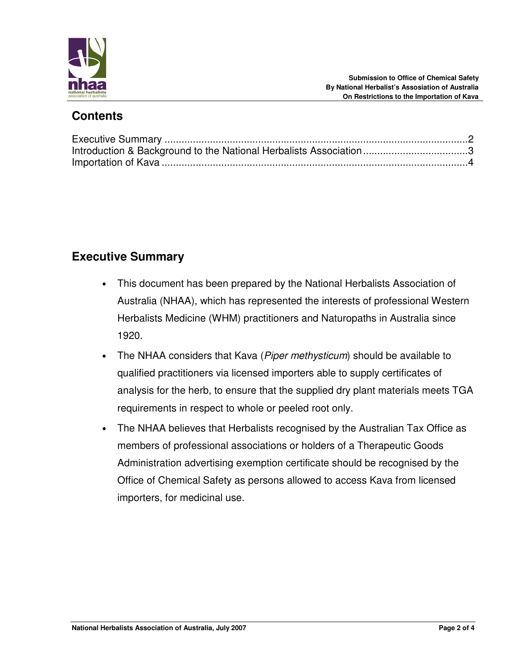

### **Contents**

### **Executive Summary**

- This document has been prepared by the National Herbalists Association of Australia (NHAA), which has represented the interests of professional Western Herbalists Medicine (WHM) practitioners and Naturopaths in Australia since 1920.
- The NHAA considers that Kava (Piper methysticum) should be available to qualified practitioners via licensed importers able to supply certificates of analysis for the herb, to ensure that the supplied dry plant materials meets TGA requirements in respect to whole or peeled root only.
- The NHAA believes that Herbalists recognised by the Australian Tax Office as members of professional associations or holders of a Therapeutic Goods Administration advertising exemption certificate should be recognised by the Office of Chemical Safety as persons allowed to access Kava from licensed importers, for medicinal use.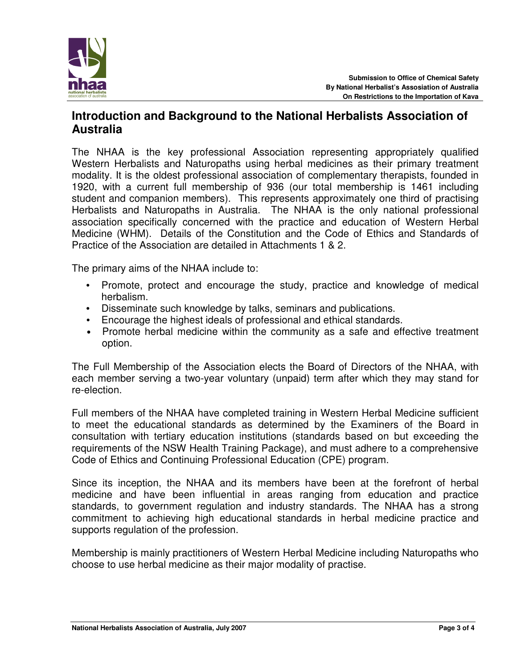

### **Introduction and Background to the National Herbalists Association of Australia**

The NHAA is the key professional Association representing appropriately qualified Western Herbalists and Naturopaths using herbal medicines as their primary treatment modality. It is the oldest professional association of complementary therapists, founded in 1920, with a current full membership of 936 (our total membership is 1461 including student and companion members). This represents approximately one third of practising Herbalists and Naturopaths in Australia. The NHAA is the only national professional association specifically concerned with the practice and education of Western Herbal Medicine (WHM). Details of the Constitution and the Code of Ethics and Standards of Practice of the Association are detailed in Attachments 1 & 2.

The primary aims of the NHAA include to:

- Promote, protect and encourage the study, practice and knowledge of medical herbalism.
- Disseminate such knowledge by talks, seminars and publications.
- Encourage the highest ideals of professional and ethical standards.
- Promote herbal medicine within the community as a safe and effective treatment option.

The Full Membership of the Association elects the Board of Directors of the NHAA, with each member serving a two-year voluntary (unpaid) term after which they may stand for re-election.

Full members of the NHAA have completed training in Western Herbal Medicine sufficient to meet the educational standards as determined by the Examiners of the Board in consultation with tertiary education institutions (standards based on but exceeding the requirements of the NSW Health Training Package), and must adhere to a comprehensive Code of Ethics and Continuing Professional Education (CPE) program.

Since its inception, the NHAA and its members have been at the forefront of herbal medicine and have been influential in areas ranging from education and practice standards, to government regulation and industry standards. The NHAA has a strong commitment to achieving high educational standards in herbal medicine practice and supports regulation of the profession.

Membership is mainly practitioners of Western Herbal Medicine including Naturopaths who choose to use herbal medicine as their major modality of practise.